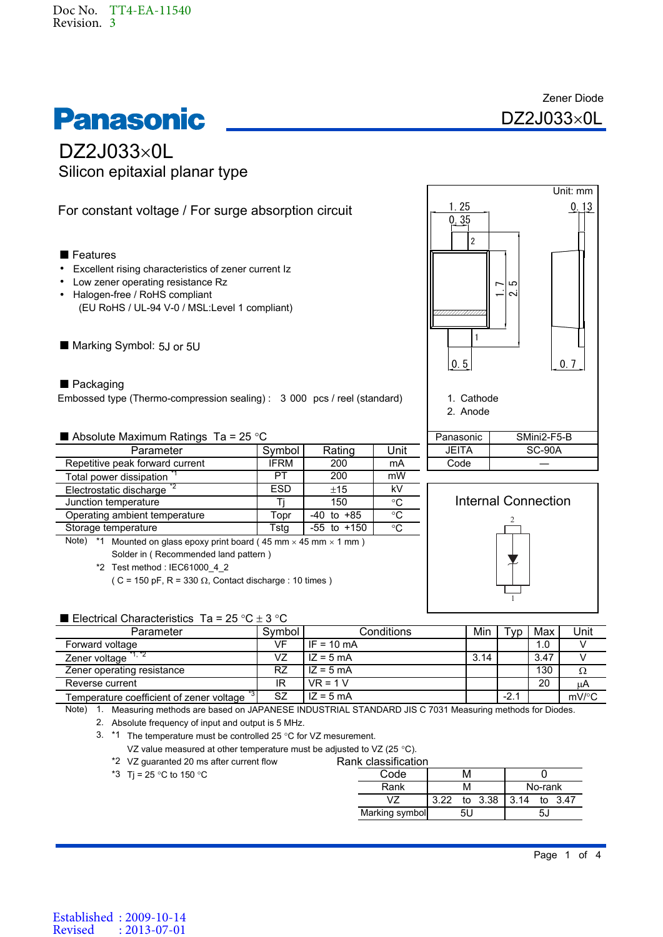# **Panasonic**

Zener Diode  $DZ2J033\times 0L$ 

## $DZ2J033\times 0L$ Silicon epitaxial planar type

### For constant voltage / For surge absorption circuit

#### ■ Features

- Excellent rising characteristics of zener current Iz
- Low zener operating resistance Rz
- (EU RoHS / UL-94 V-0 / MSL:Level 1 compliant) • Halogen-free / RoHS compliant
- Marking Symbol: 5J or 5U

#### ■ Packaging

Embossed type (Thermo-compression sealing) : 3 000 pcs / reel (standard)

Absolute Maximum Ratings Ta =  $25^{\circ}$ C

| Parameter                             | Symbol      | Rating          | Unit            |
|---------------------------------------|-------------|-----------------|-----------------|
| Repetitive peak forward current       | <b>IFRM</b> | 200             | mA              |
| Total power dissipation               | PT          | 200             | mW              |
| Electrostatic discharge <sup>12</sup> | <b>ESD</b>  | ±15             | kV              |
| Junction temperature                  |             | 150             | $\rm ^{\circ}C$ |
| Operating ambient temperature         | Topr        | $-40$ to $+85$  | $\rm ^{\circ}C$ |
| Storage temperature                   | Tsta        | $-55$ to $+150$ | $\rm ^{\circ}C$ |

Note)  $*1$  Mounted on glass epoxy print board (45 mm  $\times$  45 mm  $\times$  1 mm) Solder in ( Recommended land pattern )

\*2 Test method : IEC61000\_4\_2

( C = 150 pF, R = 330  $\Omega$ , Contact discharge : 10 times )

#### **E** Flectrical Characteristics Ta = 25 °C + 3 °C

| <b>L</b> Littling Undiantification $\mathbf{a} = \mathbf{c}$ U $\mathbf{u} \pm \mathbf{d}$ U |           |              |      |        |      |                     |
|----------------------------------------------------------------------------------------------|-----------|--------------|------|--------|------|---------------------|
| Parameter                                                                                    | Symbol    | Conditions   | Min  | ' vp   | Max  | Jnit                |
| Forward voltage                                                                              | VF        | $IF = 10 mA$ |      |        | 1.0  |                     |
| *1. *2<br>Zener voltage                                                                      | VZ        | $IZ = 5 mA$  | 3.14 |        | 3.47 |                     |
| Zener operating resistance                                                                   | <b>RZ</b> | $IZ = 5 mA$  |      |        | 130  | Ω                   |
| Reverse current                                                                              | IR        | $VR = 1 V$   |      |        | 20   | μA                  |
| Temperature coefficient of zener voltage                                                     | SZ        | $IZ = 5 mA$  |      | $-2.1$ |      | $mV$ <sup>o</sup> C |

Note) 1. Measuring methods are based on JAPANESE INDUSTRIAL STANDARD JIS C 7031 Measuring methods for Diodes.

Absolute frequency of input and output is 5 MHz. 2.

VZ value measured at other temperature must be adjusted to VZ (25 °C).<br>VZ guaranted 20 ms after current flow Rank classification \*2 VZ guaranted 20 ms after current flow **Rank classification** 

| *3 Tj = 25 °C to 150 °C |
|-------------------------|
|-------------------------|

| ik classification |      |      |         |         |    |         |
|-------------------|------|------|---------|---------|----|---------|
| Code              |      | м    |         |         |    |         |
| Rank              | м    |      |         | No-rank |    |         |
|                   | 3.22 |      | to 3.38 | 3.14    |    | to 3.47 |
| Marking symbol    |      | 51 I |         |         | 5. |         |





<sup>3.</sup>  $*1$  The temperature must be controlled 25 °C for VZ mesurement.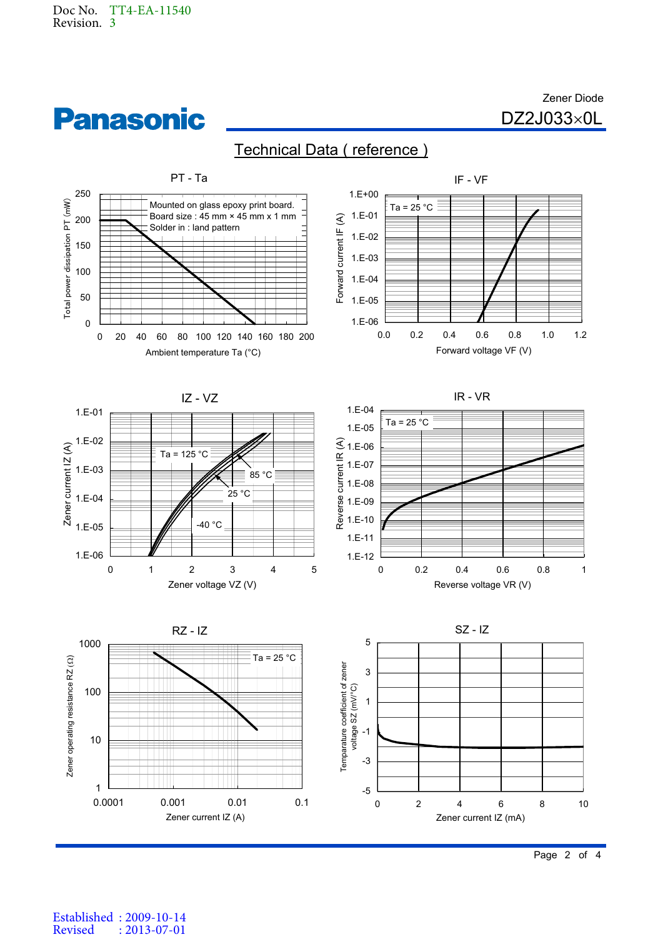



Zener Diode  $DZ2J033\times 0L$ 

## Technical Data ( reference )



Established : 2009-10-14 Revised : 2013-07-01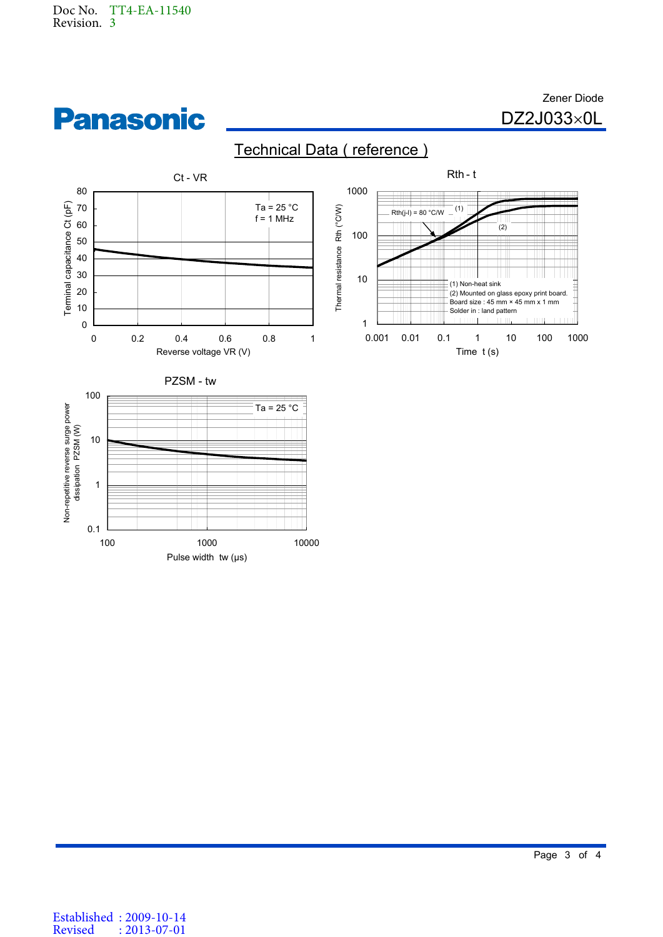

**Panasonic** 





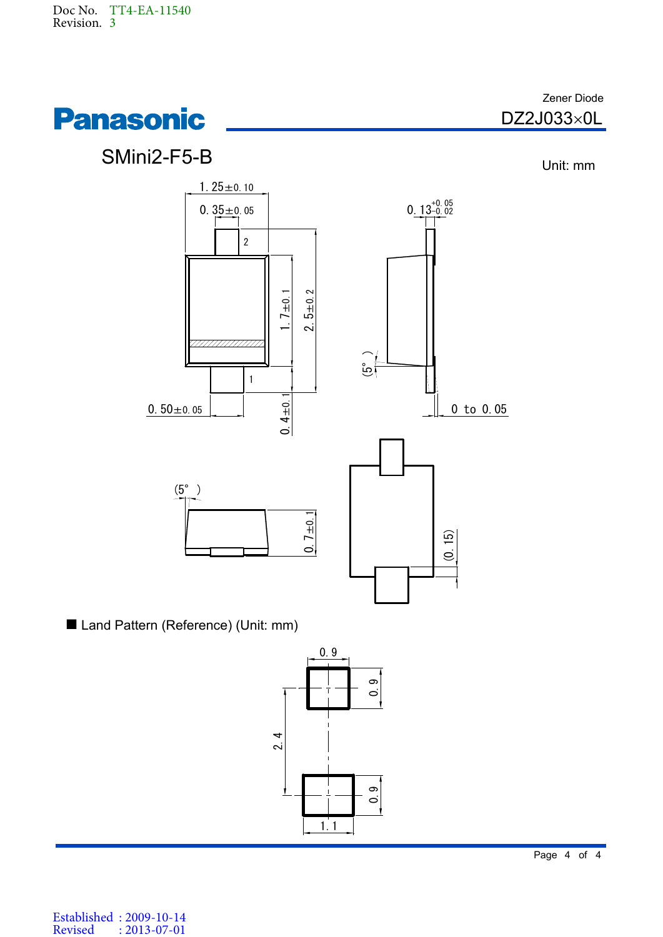



Established : 2009-10-14 Revised : 2013-07-01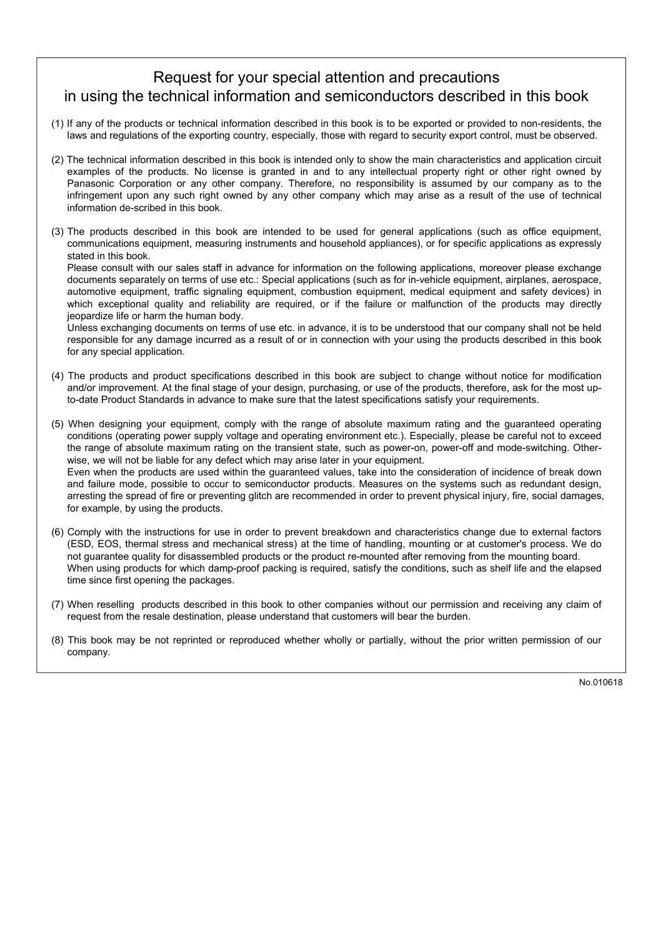## Request for your special attention and precautions in using the technical information and semiconductors described in this book

- (1) If any of the products or technical information described in this book is to be exported or provided to non-residents, the laws and regulations of the exporting country, especially, those with regard to security export control, must be observed.
- (2) The technical information described in this book is intended only to show the main characteristics and application circuit examples of the products. No license is granted in and to any intellectual property right or other right owned by Panasonic Corporation or any other company. Therefore, no responsibility is assumed by our company as to the infringement upon any such right owned by any other company which may arise as a result of the use of technical information de-scribed in this book.
- (3) The products described in this book are intended to be used for general applications (such as office equipment, communications equipment, measuring instruments and household appliances), or for specific applications as expressly stated in this book.

Please consult with our sales staff in advance for information on the following applications, moreover please exchange documents separately on terms of use etc.: Special applications (such as for in-vehicle equipment, airplanes, aerospace, automotive equipment, traffic signaling equipment, combustion equipment, medical equipment and safety devices) in which exceptional quality and reliability are required, or if the failure or malfunction of the products may directly jeopardize life or harm the human body.

Unless exchanging documents on terms of use etc. in advance, it is to be understood that our company shall not be held responsible for any damage incurred as a result of or in connection with your using the products described in this book for any special application.

- (4) The products and product specifications described in this book are subject to change without notice for modification and/or improvement. At the final stage of your design, purchasing, or use of the products, therefore, ask for the most upto-date Product Standards in advance to make sure that the latest specifications satisfy your requirements.
- (5) When designing your equipment, comply with the range of absolute maximum rating and the guaranteed operating conditions (operating power supply voltage and operating environment etc.). Especially, please be careful not to exceed the range of absolute maximum rating on the transient state, such as power-on, power-off and mode-switching. Otherwise, we will not be liable for any defect which may arise later in your equipment. Even when the products are used within the guaranteed values, take into the consideration of incidence of break down and failure mode, possible to occur to semiconductor products. Measures on the systems such as redundant design, arresting the spread of fire or preventing glitch are recommended in order to prevent physical injury, fire, social damages, for example, by using the products.
- (6) Comply with the instructions for use in order to prevent breakdown and characteristics change due to external factors (ESD, EOS, thermal stress and mechanical stress) at the time of handling, mounting or at customer's process. We do not guarantee quality for disassembled products or the product re-mounted after removing from the mounting board. When using products for which damp-proof packing is required, satisfy the conditions, such as shelf life and the elapsed time since first opening the packages.
- (7) When reselling products described in this book to other companies without our permission and receiving any claim of request from the resale destination, please understand that customers will bear the burden.
- (8) This book may be not reprinted or reproduced whether wholly or partially, without the prior written permission of our company.